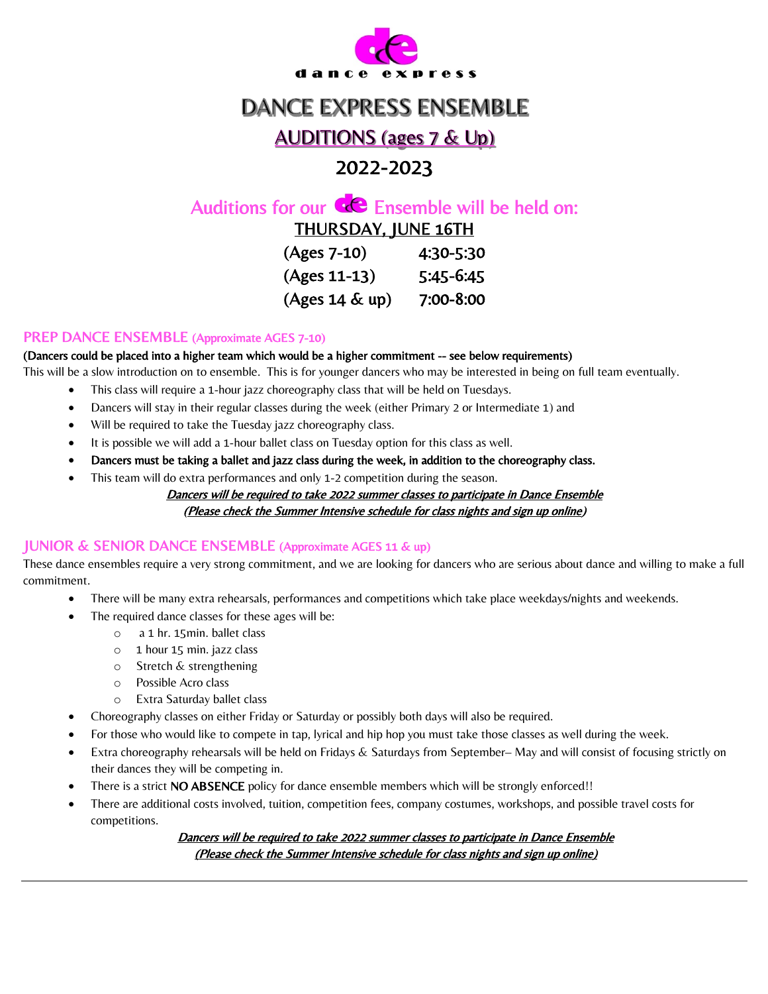

# **DANCE EXPRESS ENSEMBLE**

# **AUDITIONS (ages 7 & Up)**

# 2022-2023

# Auditions for our  $\mathbf{C}$  Ensemble will be held on:

THURSDAY, JUNE 16TH

| (Ages 7-10)       | 4:30-5:30 |
|-------------------|-----------|
| $(Ages 11-13)$    | 5:45-6:45 |
| $(Ages 14 \& up)$ | 7:00-8:00 |

## PREP DANCE ENSEMBLE (Approximate AGES 7-10)

#### (Dancers could be placed into a higher team which would be a higher commitment -- see below requirements)

This will be a slow introduction on to ensemble. This is for younger dancers who may be interested in being on full team eventually.

- This class will require a 1-hour jazz choreography class that will be held on Tuesdays.
- Dancers will stay in their regular classes during the week (either Primary 2 or Intermediate 1) and
- Will be required to take the Tuesday jazz choreography class.
- It is possible we will add a 1-hour ballet class on Tuesday option for this class as well.
- Dancers must be taking a ballet and jazz class during the week, in addition to the choreography class.
- This team will do extra performances and only 1-2 competition during the season.

#### Dancers will be required to take 2022 summer classes to participate in Dance Ensemble (Please check the Summer Intensive schedule for class nights and sign up online)

## JUNIOR & SENIOR DANCE ENSEMBLE (Approximate AGES 11 & up)

These dance ensembles require a very strong commitment, and we are looking for dancers who are serious about dance and willing to make a full commitment.

- There will be many extra rehearsals, performances and competitions which take place weekdays/nights and weekends.
	- The required dance classes for these ages will be:
		- o a 1 hr. 15min. ballet class
		- o 1 hour 15 min. jazz class
		- o Stretch & strengthening
		- o Possible Acro class
		- o Extra Saturday ballet class
- Choreography classes on either Friday or Saturday or possibly both days will also be required.
- For those who would like to compete in tap, lyrical and hip hop you must take those classes as well during the week.
- Extra choreography rehearsals will be held on Fridays & Saturdays from September– May and will consist of focusing strictly on their dances they will be competing in.
- There is a strict NO ABSENCE policy for dance ensemble members which will be strongly enforced!!
- There are additional costs involved, tuition, competition fees, company costumes, workshops, and possible travel costs for competitions.

Dancers will be required to take 2022 summer classes to participate in Dance Ensemble (Please check the Summer Intensive schedule for class nights and sign up online)